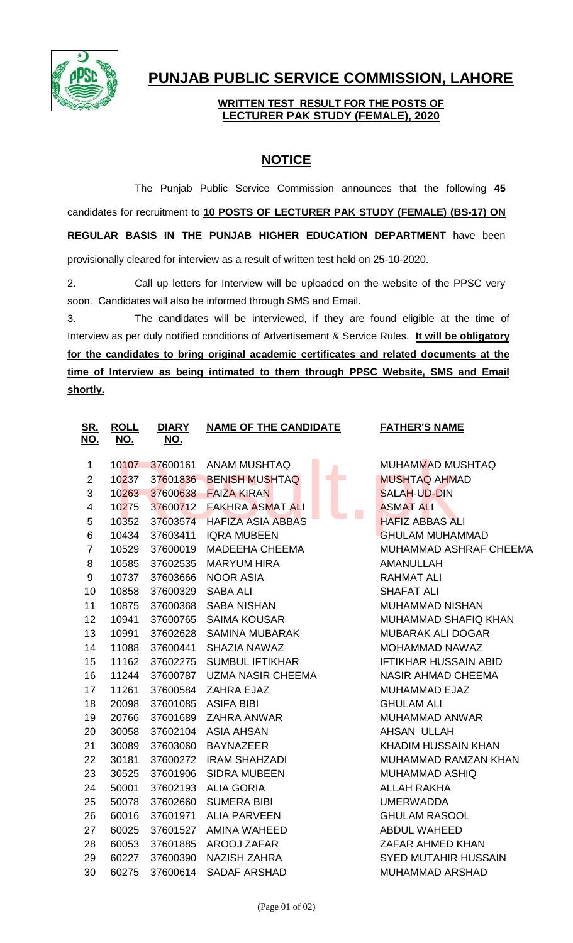

## **PUNJAB PUBLIC SERVICE COMMISSION, LAHORE**

## **WRITTEN TEST RESULT FOR THE POSTS OF LECTURER PAK STUDY (FEMALE), 2020**

## **NOTICE**

The Punjab Public Service Commission announces that the following **45** candidates for recruitment to **10 POSTS OF LECTURER PAK STUDY (FEMALE) (BS-17) ON REGULAR BASIS IN THE PUNJAB HIGHER EDUCATION DEPARTMENT** have been provisionally cleared for interview as a result of written test held on 25-10-2020.

2. Call up letters for Interview will be uploaded on the website of the PPSC very soon. Candidates will also be informed through SMS and Email.

3. The candidates will be interviewed, if they are found eligible at the time of Interview as per duly notified conditions of Advertisement & Service Rules. **It will be obligatory for the candidates to bring original academic certificates and related documents at the time of Interview as being intimated to them through PPSC Website, SMS and Email shortly.**

| SR.<br><u>NO.</u>       | <b>ROLL</b><br><u>NO.</u> | <b>DIARY</b><br><u>NO.</u> | <b>NAME OF THE CANDIDATE</b> |  | <b>FATHER'S NAME</b>         |
|-------------------------|---------------------------|----------------------------|------------------------------|--|------------------------------|
|                         |                           |                            |                              |  |                              |
| 1                       | 10107                     | 37600161                   | <b>ANAM MUSHTAQ</b>          |  | <b>MUHAMMAD MUSHTAQ</b>      |
| $\overline{2}$          | 10237                     | 37601836                   | <b>BENISH MUSHTAQ</b>        |  | <b>MUSHTAQ AHMAD</b>         |
| 3                       | 10263                     | 37600638                   | <b>FAIZA KIRAN</b>           |  | <b>SALAH-UD-DIN</b>          |
| $\overline{\mathbf{4}}$ | 10275                     | 37600712                   | <b>FAKHRA ASMAT ALI</b>      |  | <b>ASMAT ALI</b>             |
| 5                       | 10352                     | 37603574                   | <b>HAFIZA ASIA ABBAS</b>     |  | <b>HAFIZ ABBAS ALI</b>       |
| 6                       | 10434                     | 37603411                   | <b>IQRA MUBEEN</b>           |  | <b>GHULAM MUHAMMAD</b>       |
| $\overline{7}$          | 10529                     | 37600019                   | <b>MADEEHA CHEEMA</b>        |  | MUHAMMAD ASHRAF CHEEMA       |
| 8                       | 10585                     | 37602535                   | <b>MARYUM HIRA</b>           |  | <b>AMANULLAH</b>             |
| 9                       | 10737                     | 37603666                   | <b>NOOR ASIA</b>             |  | <b>RAHMAT ALI</b>            |
| 10                      | 10858                     | 37600329                   | <b>SABA ALI</b>              |  | <b>SHAFAT ALI</b>            |
| 11                      | 10875                     | 37600368                   | <b>SABA NISHAN</b>           |  | <b>MUHAMMAD NISHAN</b>       |
| 12                      | 10941                     | 37600765                   | <b>SAIMA KOUSAR</b>          |  | MUHAMMAD SHAFIQ KHAN         |
| 13                      | 10991                     | 37602628                   | <b>SAMINA MUBARAK</b>        |  | <b>MUBARAK ALI DOGAR</b>     |
| 14                      | 11088                     | 37600441                   | SHAZIA NAWAZ                 |  | MOHAMMAD NAWAZ               |
| 15                      | 11162                     | 37602275                   | <b>SUMBUL IFTIKHAR</b>       |  | <b>IFTIKHAR HUSSAIN ABID</b> |
| 16                      | 11244                     | 37600787                   | <b>UZMA NASIR CHEEMA</b>     |  | <b>NASIR AHMAD CHEEMA</b>    |
| 17                      | 11261                     | 37600584                   | ZAHRA EJAZ                   |  | MUHAMMAD EJAZ                |
| 18                      | 20098                     | 37601085                   | <b>ASIFA BIBI</b>            |  | <b>GHULAM ALI</b>            |
| 19                      | 20766                     | 37601689                   | ZAHRA ANWAR                  |  | MUHAMMAD ANWAR               |
| 20                      | 30058                     | 37602104                   | <b>ASIA AHSAN</b>            |  | AHSAN ULLAH                  |
| 21                      | 30089                     | 37603060                   | <b>BAYNAZEER</b>             |  | <b>KHADIM HUSSAIN KHAN</b>   |
| 22                      | 30181                     | 37600272                   | <b>IRAM SHAHZADI</b>         |  | MUHAMMAD RAMZAN KHAN         |
| 23                      | 30525                     | 37601906                   | <b>SIDRA MUBEEN</b>          |  | <b>MUHAMMAD ASHIQ</b>        |
| 24                      | 50001                     | 37602193                   | <b>ALIA GORIA</b>            |  | <b>ALLAH RAKHA</b>           |
| 25                      | 50078                     | 37602660                   | <b>SUMERA BIBI</b>           |  | <b>UMERWADDA</b>             |
| 26                      | 60016                     | 37601971                   | <b>ALIA PARVEEN</b>          |  | <b>GHULAM RASOOL</b>         |
| 27                      | 60025                     | 37601527                   | AMINA WAHEED                 |  | <b>ABDUL WAHEED</b>          |
| 28                      | 60053                     | 37601885                   | AROOJ ZAFAR                  |  | ZAFAR AHMED KHAN             |
| 29                      | 60227                     | 37600390                   | <b>NAZISH ZAHRA</b>          |  | <b>SYED MUTAHIR HUSSAIN</b>  |
| 30                      | 60275                     | 37600614                   | <b>SADAF ARSHAD</b>          |  | <b>MUHAMMAD ARSHAD</b>       |